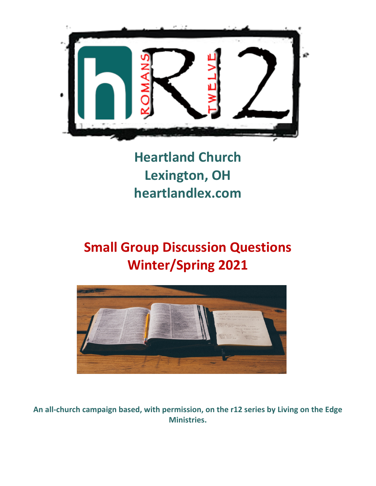

**Heartland Church Lexington, OH heartlandlex.com**

# **Small Group Discussion Questions Winter/Spring 2021**



**An all-church campaign based, with permission, on the r12 series by Living on the Edge Ministries.**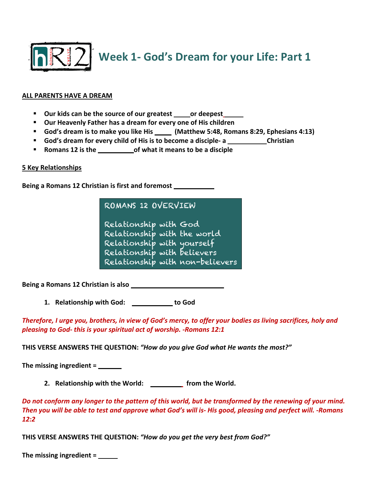

**Week 1- God's Dream for your Life: Part 1**

#### **ALL PARENTS HAVE A DREAM**

- **E** Our kids can be the source of our greatest \_\_\_\_\_ or deepest\_
- § **Our Heavenly Father has a dream for every one of His children**
- God's dream is to make you like His \_\_\_\_\_ (Matthew 5:48, Romans 8:29, Ephesians 4:13)
- **E** God's dream for every child of His is to become a disciple- a **ROMANG 12** Christian
- Romans 12 is the **BLUEFRING CONTERNATA BLUEFRING BLUEFRING BLUEFRING one and state the a** disciple

#### **5 Key Relationships**

Being a Romans 12 Christian is first and foremost **RELATION** 

ROMANS 12 OVERVIEW

Relationship with God Relationship with the world Relationship with yourself Relationship with believers Relationship with non-believers

**Being a Romans 12 Christian is also** 

**1.** Relationship with God: The sto God

*Therefore, I urge you, brothers, in view of God's mercy, to offer your bodies as living sacrifices, holy and pleasing to God- this is your spiritual act of worship. -Romans 12:1*

**THIS VERSE ANSWERS THE QUESTION:** *"How do you give God what He wants the most?"*

**The missing ingredient =** 

**2.** Relationship with the World: \_\_\_\_\_\_\_\_\_\_ from the World.

*Do not conform any longer to the pattern of this world, but be transformed by the renewing of your mind. Then you will be able to test and approve what God's will is- His good, pleasing and perfect will. -Romans 12:2*

**THIS VERSE ANSWERS THE QUESTION:** *"How do you get the very best from God?"*

The missing ingredient = \_<u>\_\_\_\_\_</u>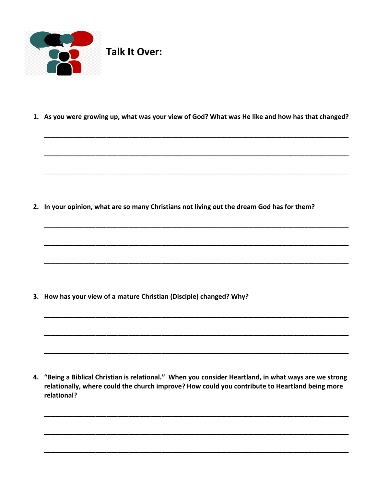

1. As you were growing up, what was your view of God? What was He like and how has that changed?

2. In your opinion, what are so many Christians not living out the dream God has for them?

3. How has your view of a mature Christian (Disciple) changed? Why?

4. "Being a Biblical Christian is relational." When you consider Heartland, in what ways are we strong relationally, where could the church improve? How could you contribute to Heartland being more relational?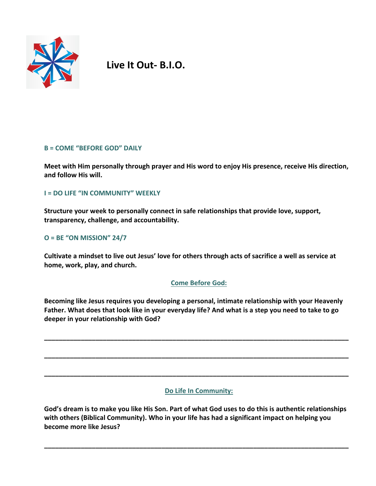

**Live It Out- B.I.O.**

## **B = COME "BEFORE GOD" DAILY**

**Meet with Him personally through prayer and His word to enjoy His presence, receive His direction, and follow His will.** 

## **I = DO LIFE "IN COMMUNITY" WEEKLY**

**Structure your week to personally connect in safe relationships that provide love, support, transparency, challenge, and accountability.** 

## **O = BE "ON MISSION" 24/7**

**Cultivate a mindset to live out Jesus' love for others through acts of sacrifice a well as service at home, work, play, and church.** 

## **Come Before God:**

**Becoming like Jesus requires you developing a personal, intimate relationship with your Heavenly Father. What does that look like in your everyday life? And what is a step you need to take to go deeper in your relationship with God?**

**\_\_\_\_\_\_\_\_\_\_\_\_\_\_\_\_\_\_\_\_\_\_\_\_\_\_\_\_\_\_\_\_\_\_\_\_\_\_\_\_\_\_\_\_\_\_\_\_\_\_\_\_\_\_\_\_\_\_\_\_\_\_\_\_\_\_\_\_\_\_\_\_\_\_\_\_\_\_\_\_\_\_\_**

**\_\_\_\_\_\_\_\_\_\_\_\_\_\_\_\_\_\_\_\_\_\_\_\_\_\_\_\_\_\_\_\_\_\_\_\_\_\_\_\_\_\_\_\_\_\_\_\_\_\_\_\_\_\_\_\_\_\_\_\_\_\_\_\_\_\_\_\_\_\_\_\_\_\_\_\_\_\_\_\_\_\_\_**

**\_\_\_\_\_\_\_\_\_\_\_\_\_\_\_\_\_\_\_\_\_\_\_\_\_\_\_\_\_\_\_\_\_\_\_\_\_\_\_\_\_\_\_\_\_\_\_\_\_\_\_\_\_\_\_\_\_\_\_\_\_\_\_\_\_\_\_\_\_\_\_\_\_\_\_\_\_\_\_\_\_\_\_**

## **Do Life In Community:**

**God's dream is to make you like His Son. Part of what God uses to do this is authentic relationships with others (Biblical Community). Who in your life has had a significant impact on helping you become more like Jesus?**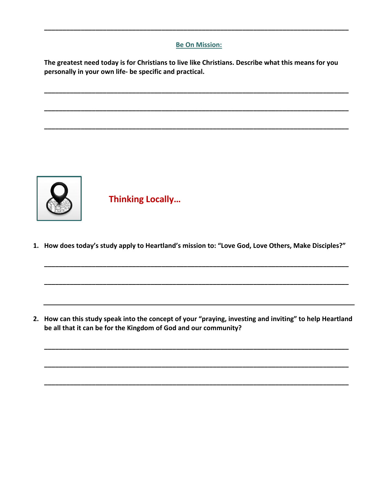## **Be On Mission:**

**\_\_\_\_\_\_\_\_\_\_\_\_\_\_\_\_\_\_\_\_\_\_\_\_\_\_\_\_\_\_\_\_\_\_\_\_\_\_\_\_\_\_\_\_\_\_\_\_\_\_\_\_\_\_\_\_\_\_\_\_\_\_\_\_\_\_\_\_\_\_\_\_\_\_\_\_\_\_\_\_\_\_\_**

**The greatest need today is for Christians to live like Christians. Describe what this means for you personally in your own life- be specific and practical.** 

**\_\_\_\_\_\_\_\_\_\_\_\_\_\_\_\_\_\_\_\_\_\_\_\_\_\_\_\_\_\_\_\_\_\_\_\_\_\_\_\_\_\_\_\_\_\_\_\_\_\_\_\_\_\_\_\_\_\_\_\_\_\_\_\_\_\_\_\_\_\_\_\_\_\_\_\_\_\_\_\_\_\_\_**

**\_\_\_\_\_\_\_\_\_\_\_\_\_\_\_\_\_\_\_\_\_\_\_\_\_\_\_\_\_\_\_\_\_\_\_\_\_\_\_\_\_\_\_\_\_\_\_\_\_\_\_\_\_\_\_\_\_\_\_\_\_\_\_\_\_\_\_\_\_\_\_\_\_\_\_\_\_\_\_\_\_\_\_**

**\_\_\_\_\_\_\_\_\_\_\_\_\_\_\_\_\_\_\_\_\_\_\_\_\_\_\_\_\_\_\_\_\_\_\_\_\_\_\_\_\_\_\_\_\_\_\_\_\_\_\_\_\_\_\_\_\_\_\_\_\_\_\_\_\_\_\_\_\_\_\_\_\_\_\_\_\_\_\_\_\_\_\_**



**Thinking Locally…**

**1. How does today's study apply to Heartland's mission to: "Love God, Love Others, Make Disciples?"**

**\_\_\_\_\_\_\_\_\_\_\_\_\_\_\_\_\_\_\_\_\_\_\_\_\_\_\_\_\_\_\_\_\_\_\_\_\_\_\_\_\_\_\_\_\_\_\_\_\_\_\_\_\_\_\_\_\_\_\_\_\_\_\_\_\_\_\_\_\_\_\_\_\_\_\_\_\_\_\_\_\_\_\_**

**\_\_\_\_\_\_\_\_\_\_\_\_\_\_\_\_\_\_\_\_\_\_\_\_\_\_\_\_\_\_\_\_\_\_\_\_\_\_\_\_\_\_\_\_\_\_\_\_\_\_\_\_\_\_\_\_\_\_\_\_\_\_\_\_\_\_\_\_\_\_\_\_\_\_\_\_\_\_\_\_\_\_\_**

**2. How can this study speak into the concept of your "praying, investing and inviting" to help Heartland be all that it can be for the Kingdom of God and our community?**

**\_\_\_\_\_\_\_\_\_\_\_\_\_\_\_\_\_\_\_\_\_\_\_\_\_\_\_\_\_\_\_\_\_\_\_\_\_\_\_\_\_\_\_\_\_\_\_\_\_\_\_\_\_\_\_\_\_\_\_\_\_\_\_\_\_\_\_\_\_\_\_\_\_\_\_\_\_\_\_\_\_\_\_**

**\_\_\_\_\_\_\_\_\_\_\_\_\_\_\_\_\_\_\_\_\_\_\_\_\_\_\_\_\_\_\_\_\_\_\_\_\_\_\_\_\_\_\_\_\_\_\_\_\_\_\_\_\_\_\_\_\_\_\_\_\_\_\_\_\_\_\_\_\_\_\_\_\_\_\_\_\_\_\_\_\_\_\_**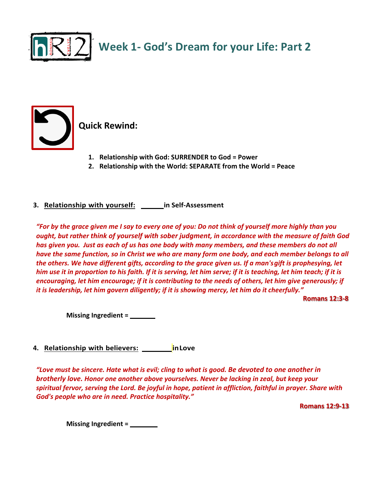

**Week 1- God's Dream for your Life: Part 2**



**Quick Rewind:**

- **1. Relationship with God: SURRENDER to God = Power**
- **2. Relationship with the World: SEPARATE from the World = Peace**
- **3.** Relationship with yourself: \_\_\_\_\_\_\_ in Self-Assessment

*"For by the grace given me I say to every one of you: Do not think of yourself more highly than you ought, but rather think of yourself with sober judgment, in accordance with the measure of faith God has given you. Just as each of us has one body with many members, and these members do not all have the same function, so in Christ we who are many form one body, and each member belongs to all the others. We have different gifts, according to the grace given us. If a man'sgift is prophesying, let him use it in proportion to his faith. If it is serving, let him serve; if it is teaching, let him teach; if it is encouraging, let him encourage; if it is contributing to the needs of others, let him give generously; if it is leadership, let him govern diligently; if it is showing mercy, let him do it cheerfully."* 

**Romans 12:3-8**

**Missing Ingredient =** 

**4.** Relationship with believers: \_\_\_\_\_\_\_\_\_\_in Love

*"Love must be sincere. Hate what is evil; cling to what is good. Be devoted to one another in brotherly love. Honor one another above yourselves. Never be lacking in zeal, but keep your spiritual fervor, serving the Lord. Be joyful in hope, patient in affliction, faithful in prayer. Share with God's people who are in need. Practice hospitality."*

**Romans 12:9-13**

**Missing Ingredient = Presence**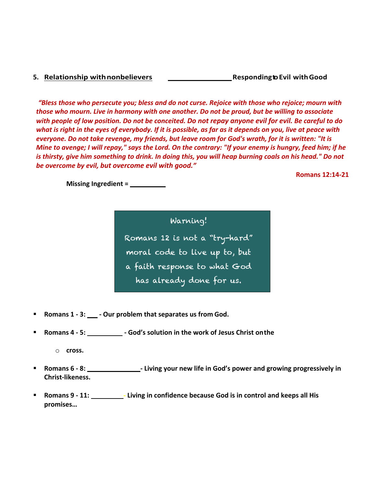#### **5. Relationship withnonbelievers: SUPERNATURALLY RespondingtoEvil withGood**

**Romans 12:14-21**

*"Bless those who persecute you; bless and do not curse. Rejoice with those who rejoice; mourn with those who mourn. Live in harmony with one another. Do not be proud, but be willing to associate with people of low position. Do not be conceited. Do not repay anyone evil for evil. Be careful to do what is right in the eyes of everybody. If it is possible, as far as it depends on you, live at peace with everyone. Do not take revenge, my friends, but leave room for God's wrath, for it is written: "It is Mine to avenge; I will repay," says the Lord. On the contrary: "If your enemy is hungry, feed him; if he is thirsty, give him something to drink. In doing this, you will heap burning coals on his head." Do not be overcome by evil, but overcome evil with good."*

**Missing Ingredient = Perspective**

Warning! Romans 12 is not a "try-hard" moral code to live up to, but a faith response to what God has already done for us.

- Romans 1 3: \_\_\_\_ Our problem that separates us from God.
- **Romans 4 5: SALVATION <b>-** God's solution in the work of Jesus Christ on the

o **cross.**

- Romans 6 8: **SANCTIFICATION -** Living your new life in God's power and growing progressively in **Christ-likeness.**
- § **Romans 9 - 11: SACRIFICE - Living in confidence because God is in control and keeps all His promises…**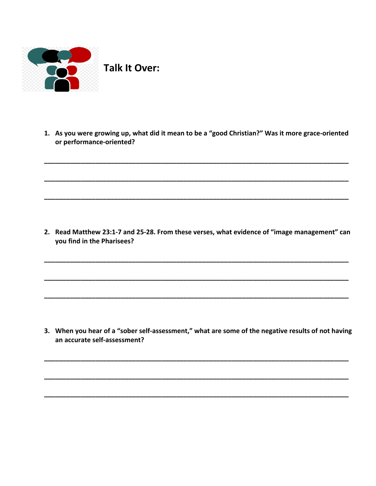

Talk It Over:

1. As you were growing up, what did it mean to be a "good Christian?" Was it more grace-oriented or performance-oriented?

2. Read Matthew 23:1-7 and 25-28. From these verses, what evidence of "image management" can you find in the Pharisees?

3. When you hear of a "sober self-assessment," what are some of the negative results of not having an accurate self-assessment?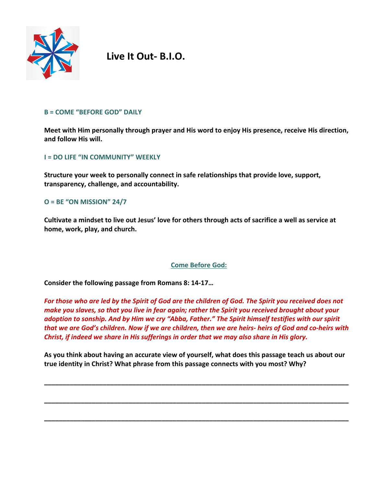

**Live It Out- B.I.O.**

#### **B = COME "BEFORE GOD" DAILY**

**Meet with Him personally through prayer and His word to enjoy His presence, receive His direction, and follow His will.** 

## **I = DO LIFE "IN COMMUNITY" WEEKLY**

**Structure your week to personally connect in safe relationships that provide love, support, transparency, challenge, and accountability.** 

## **O = BE "ON MISSION" 24/7**

**Cultivate a mindset to live out Jesus' love for others through acts of sacrifice a well as service at home, work, play, and church.** 

## **Come Before God:**

**Consider the following passage from Romans 8: 14-17…**

*For those who are led by the Spirit of God are the children of God. The Spirit you received does not make you slaves, so that you live in fear again; rather the Spirit you received brought about your adoption to sonship. And by Him we cry "Abba, Father." The Spirit himself testifies with our spirit that we are God's children. Now if we are children, then we are heirs- heirs of God and co-heirs with Christ, if indeed we share in His sufferings in order that we may also share in His glory.* 

**As you think about having an accurate view of yourself, what does this passage teach us about our true identity in Christ? What phrase from this passage connects with you most? Why?** 

**\_\_\_\_\_\_\_\_\_\_\_\_\_\_\_\_\_\_\_\_\_\_\_\_\_\_\_\_\_\_\_\_\_\_\_\_\_\_\_\_\_\_\_\_\_\_\_\_\_\_\_\_\_\_\_\_\_\_\_\_\_\_\_\_\_\_\_\_\_\_\_\_\_\_\_\_\_\_\_\_\_\_\_**

**\_\_\_\_\_\_\_\_\_\_\_\_\_\_\_\_\_\_\_\_\_\_\_\_\_\_\_\_\_\_\_\_\_\_\_\_\_\_\_\_\_\_\_\_\_\_\_\_\_\_\_\_\_\_\_\_\_\_\_\_\_\_\_\_\_\_\_\_\_\_\_\_\_\_\_\_\_\_\_\_\_\_\_**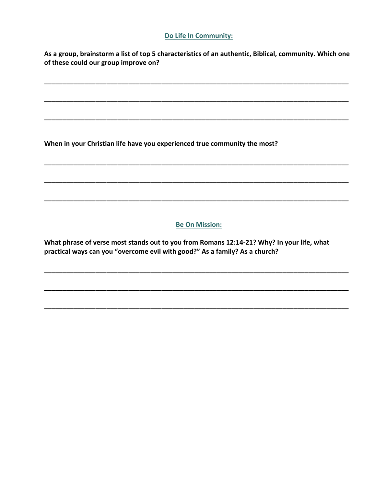## Do Life In Community:

As a group, brainstorm a list of top 5 characteristics of an authentic, Biblical, community. Which one of these could our group improve on?

When in your Christian life have you experienced true community the most?

## **Be On Mission:**

What phrase of verse most stands out to you from Romans 12:14-21? Why? In your life, what practical ways can you "overcome evil with good?" As a family? As a church?